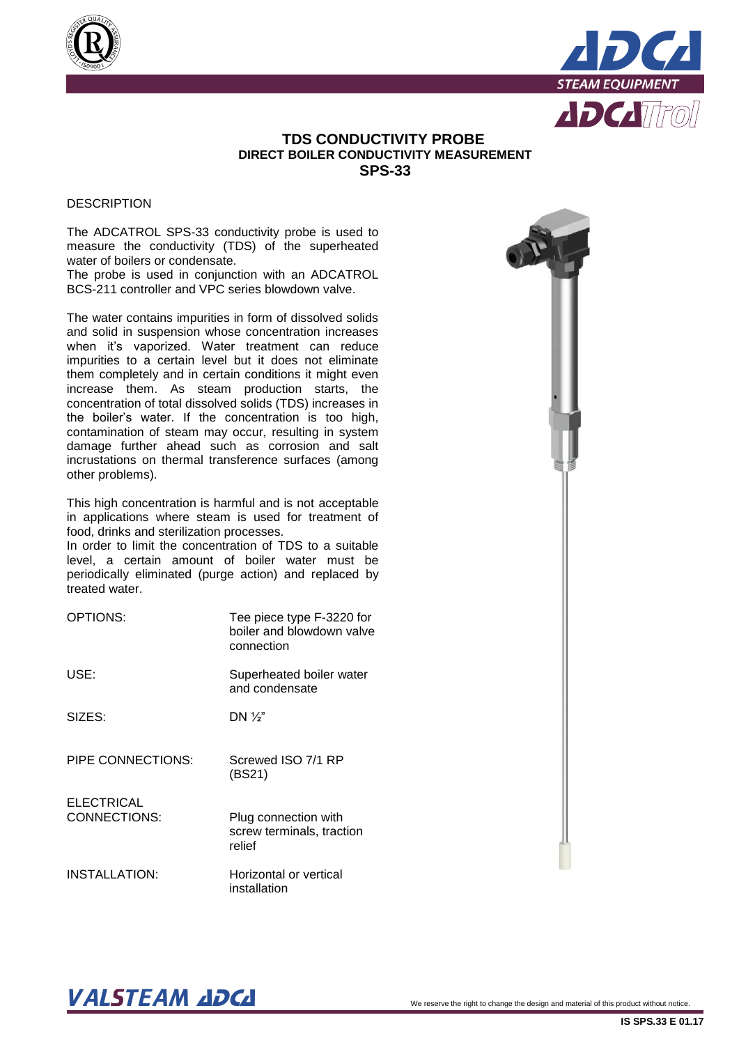



## **TDS CONDUCTIVITY PROBE DIRECT BOILER CONDUCTIVITY MEASUREMENT SPS-33**

#### **DESCRIPTION**

The ADCATROL SPS-33 conductivity probe is used to measure the conductivity (TDS) of the superheated water of boilers or condensate.

The probe is used in conjunction with an ADCATROL BCS-211 controller and VPC series blowdown valve.

The water contains impurities in form of dissolved solids and solid in suspension whose concentration increases when it's vaporized. Water treatment can reduce impurities to a certain level but it does not eliminate them completely and in certain conditions it might even increase them. As steam production starts, the concentration of total dissolved solids (TDS) increases in the boiler's water. If the concentration is too high, contamination of steam may occur, resulting in system damage further ahead such as corrosion and salt incrustations on thermal transference surfaces (among other problems).

This high concentration is harmful and is not acceptable in applications where steam is used for treatment of food, drinks and sterilization processes.

In order to limit the concentration of TDS to a suitable level, a certain amount of boiler water must be periodically eliminated (purge action) and replaced by treated water.

| OPTIONS:                          | Tee piece type F-3220 for<br>boiler and blowdown valve<br>connection |
|-----------------------------------|----------------------------------------------------------------------|
| USE:                              | Superheated boiler water<br>and condensate                           |
| SIZES:                            | DN $\frac{1}{2}$                                                     |
| PIPE CONNECTIONS:                 | Screwed ISO 7/1 RP<br>(BS21)                                         |
| <b>ELECTRICAL</b><br>CONNECTIONS: | Plug connection with<br>screw terminals, traction<br>relief          |
| INSTALLATION:                     | Horizontal or vertical<br>installation                               |



# $\bm{VALSTEAM}$  and  $\bm{DCL}$  we reserve the right to change the design and material of this product without notice.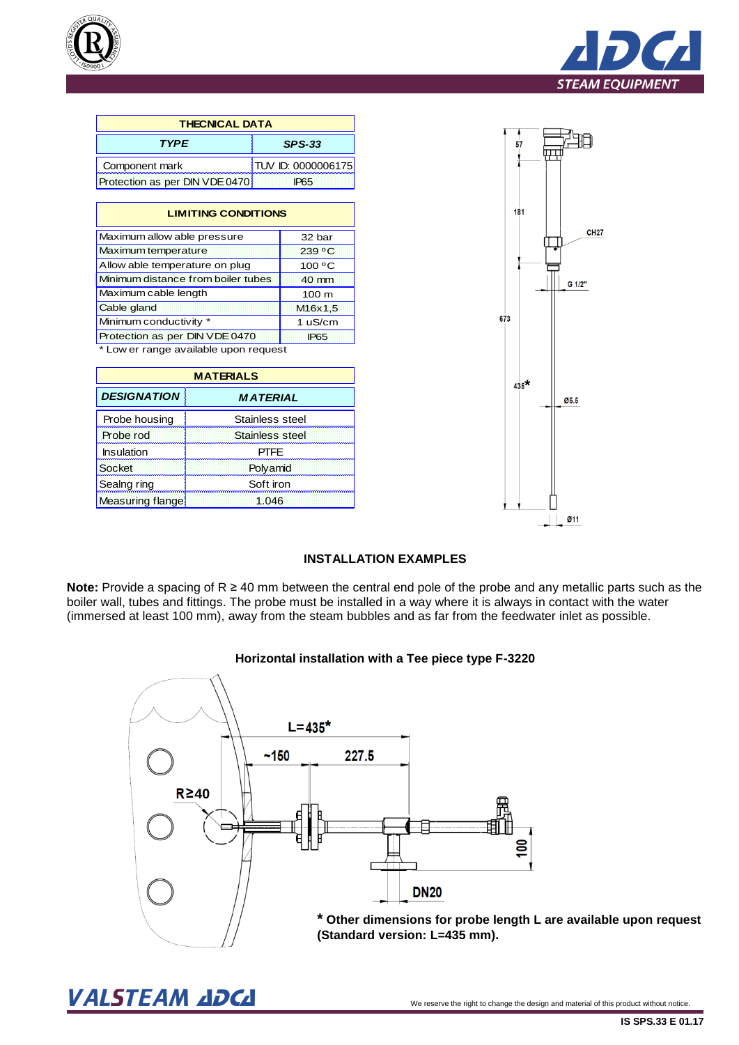



| <b>THECNICAL DATA</b>          |                    |  |
|--------------------------------|--------------------|--|
| <b>TYPE</b>                    | <b>SPS-33</b>      |  |
| Component mark                 | TUV ID: 0000006175 |  |
| Protection as per DIN VDE 0470 | IP <sub>65</sub>   |  |

| <b>LIMITING CONDITIONS</b>            |                      |
|---------------------------------------|----------------------|
| Maximum allow able pressure           | 32 bar               |
| Maximum temperature                   | $239^{\circ}$ C      |
| Allow able temperature on plug        | 100 °C               |
| Minimum distance from boiler tubes    | 40 mm                |
| Maximum cable length                  | 100 <sub>m</sub>     |
| Cable gland                           | M <sub>16</sub> x1,5 |
| Minimum conductivity *                | 1 uS/cm              |
| Protection as per DIN VDE 0470        | <b>IP65</b>          |
| * Low er range available upon request |                      |

| <b>MATERIALS</b>   |                 |
|--------------------|-----------------|
| <b>DESIGNATION</b> | <b>MATERIAL</b> |
| Probe housing      | Stainless steel |
| Probe rod          | Stainless steel |
| Insulation         | PTFF            |
| Socket             | Polyamid        |
| Sealng ring        | Soft iron       |
| Measuring flange   | 1.046           |



### **INSTALLATION EXAMPLES**

**Note:** Provide a spacing of R ≥ 40 mm between the central end pole of the probe and any metallic parts such as the boiler wall, tubes and fittings. The probe must be installed in a way where it is always in contact with the water (immersed at least 100 mm), away from the steam bubbles and as far from the feedwater inlet as possible.

#### **Horizontal installation with a Tee piece type F-3220**



**\* Other dimensions for probe length L are available upon request (Standard version: L=435 mm).**